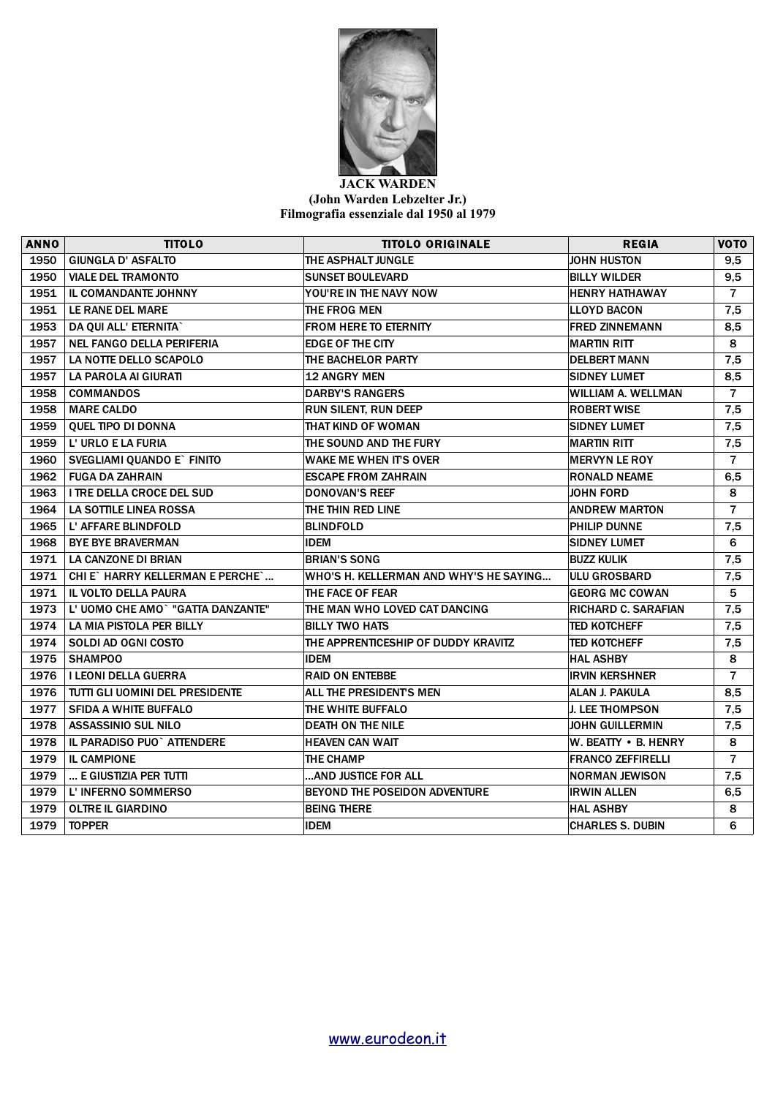

## **JACK WARDEN (John Warden Lebzelter Jr.) Filmografia essenziale dal 1950 al 1979**

| <b>ANNO</b> | <b>TITOLO</b>                     | <b>TITOLO ORIGINALE</b>                | <b>REGIA</b>               | <b>VOTO</b>    |
|-------------|-----------------------------------|----------------------------------------|----------------------------|----------------|
| 1950        | <b>GIUNGLA D' ASFALTO</b>         | THE ASPHALT JUNGLE                     | <b>JOHN HUSTON</b>         | 9,5            |
| 1950        | <b>VIALE DEL TRAMONTO</b>         | <b>SUNSET BOULEVARD</b>                | <b>BILLY WILDER</b>        | 9,5            |
| 1951        | IL COMANDANTE JOHNNY              | YOU'RE IN THE NAVY NOW                 | <b>HENRY HATHAWAY</b>      | $\overline{7}$ |
| 1951        | LE RANE DEL MARE                  | THE FROG MEN                           | <b>LLOYD BACON</b>         | 7,5            |
| 1953        | DA QUI ALL' ETERNITA`             | <b>FROM HERE TO ETERNITY</b>           | <b>FRED ZINNEMANN</b>      | 8,5            |
| 1957        | NEL FANGO DELLA PERIFERIA         | EDGE OF THE CITY                       | <b>MARTIN RITT</b>         | 8              |
| 1957        | LA NOTTE DELLO SCAPOLO            | THE BACHELOR PARTY                     | <b>DELBERT MANN</b>        | 7,5            |
| 1957        | LA PAROLA AI GIURATI              | <b>12 ANGRY MEN</b>                    | SIDNEY LUMET               | 8,5            |
| 1958        | <b>COMMANDOS</b>                  | <b>DARBY'S RANGERS</b>                 | <b>WILLIAM A. WELLMAN</b>  | $\overline{7}$ |
| 1958        | <b>MARE CALDO</b>                 | <b>RUN SILENT, RUN DEEP</b>            | <b>ROBERT WISE</b>         | 7,5            |
| 1959        | <b>QUEL TIPO DI DONNA</b>         | THAT KIND OF WOMAN                     | <b>SIDNEY LUMET</b>        | 7,5            |
| 1959        | L' URLO E LA FURIA                | THE SOUND AND THE FURY                 | <b>MARTIN RITT</b>         | 7,5            |
| 1960        | SVEGLIAMI QUANDO E` FINITO        | <b>WAKE ME WHEN ITS OVER</b>           | <b>MERVYN LE ROY</b>       | $\overline{7}$ |
| 1962        | <b>FUGA DA ZAHRAIN</b>            | <b>ESCAPE FROM ZAHRAIN</b>             | <b>RONALD NEAME</b>        | 6,5            |
| 1963        | I TRE DELLA CROCE DEL SUD         | <b>DONOVAN'S REEF</b>                  | JOHN FORD                  | 8              |
| 1964        | LA SOTTILE LINEA ROSSA            | THE THIN RED LINE                      | <b>ANDREW MARTON</b>       | $\overline{7}$ |
| 1965        | L' AFFARE BLINDFOLD               | <b>BLINDFOLD</b>                       | <b>PHILIP DUNNE</b>        | 7,5            |
| 1968        | <b>BYE BYE BRAVERMAN</b>          | <b>IDEM</b>                            | <b>SIDNEY LUMET</b>        | 6              |
| 1971        | LA CANZONE DI BRIAN               | <b>BRIAN'S SONG</b>                    | <b>BUZZ KULIK</b>          | 7,5            |
| 1971        | CHI E` HARRY KELLERMAN E PERCHE`  | WHO'S H. KELLERMAN AND WHY'S HE SAYING | <b>ULU GROSBARD</b>        | 7,5            |
| 1971        | IL VOLTO DELLA PAURA              | THE FACE OF FEAR                       | <b>GEORG MC COWAN</b>      | 5              |
| 1973        | L' UOMO CHE AMO` "GATTA DANZANTE" | THE MAN WHO LOVED CAT DANCING          | <b>RICHARD C. SARAFIAN</b> | 7,5            |
| 1974        | LA MIA PISTOLA PER BILLY          | <b>BILLY TWO HATS</b>                  | <b>TED KOTCHEFF</b>        | 7,5            |
| 1974        | SOLDI AD OGNI COSTO               | THE APPRENTICESHIP OF DUDDY KRAVITZ    | <b>TED KOTCHEFF</b>        | 7,5            |
| 1975        | <b>SHAMPOO</b>                    | <b>IDEM</b>                            | <b>HAL ASHBY</b>           | 8              |
| 1976        | <b>I LEONI DELLA GUERRA</b>       | <b>RAID ON ENTEBBE</b>                 | <b>IRVIN KERSHNER</b>      | $\overline{7}$ |
| 1976        | TUTTI GLI UOMINI DEL PRESIDENTE   | <b>ALL THE PRESIDENTS MEN</b>          | ALAN J. PAKULA             | 8,5            |
| 1977        | <b>SFIDA A WHITE BUFFALO</b>      | THE WHITE BUFFALO                      | J. LEE THOMPSON            | 7,5            |
| 1978        | <b>ASSASSINIO SUL NILO</b>        | <b>DEATH ON THE NILE</b>               | <b>JOHN GUILLERMIN</b>     | 7,5            |
| 1978        | IL PARADISO PUO` ATTENDERE        | <b>HEAVEN CAN WAIT</b>                 | W. BEATTY . B. HENRY       | 8              |
| 1979        | <b>IL CAMPIONE</b>                | <b>THE CHAMP</b>                       | <b>FRANCO ZEFFIRELLI</b>   | $\overline{7}$ |
| 1979        | E GIUSTIZIA PER TUTTI             | AND JUSTICE FOR ALL                    | <b>NORMAN JEWISON</b>      | 7,5            |
| 1979        | L' INFERNO SOMMERSO               | BEYOND THE POSEIDON ADVENTURE          | <b>IRWIN ALLEN</b>         | 6,5            |
| 1979        | <b>OLTRE IL GIARDINO</b>          | Being There                            | <b>HAL ASHBY</b>           | 8              |
| 1979        | <b>TOPPER</b>                     | <b>IDEM</b>                            | <b>CHARLES S. DUBIN</b>    | 6              |